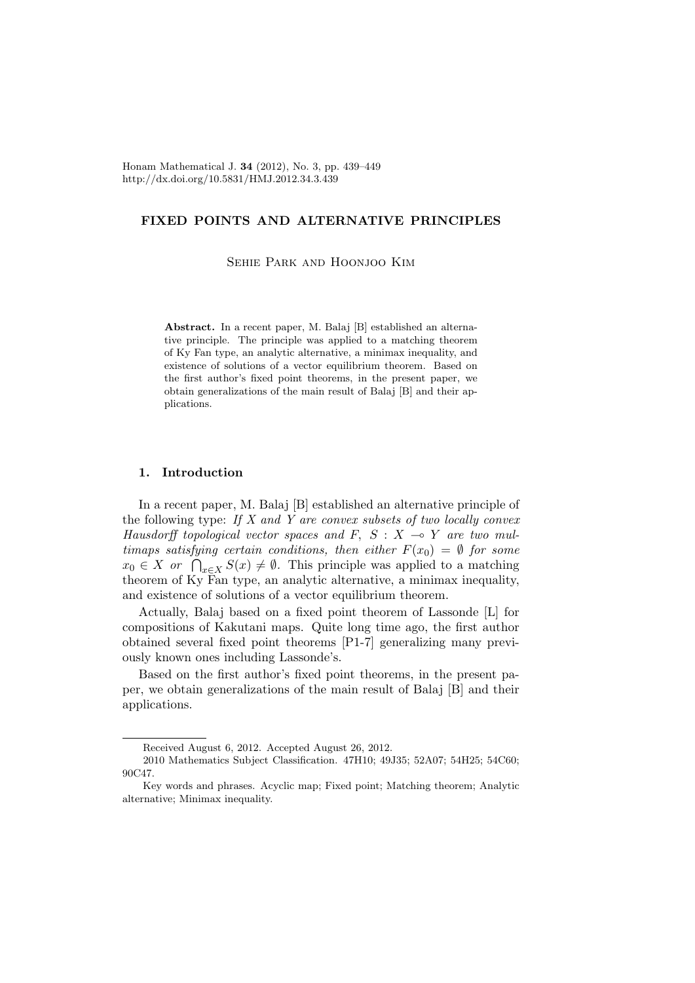Honam Mathematical J. 34 (2012), No. 3, pp. 439–449 http://dx.doi.org/10.5831/HMJ.2012.34.3.439

## FIXED POINTS AND ALTERNATIVE PRINCIPLES

Sehie Park and Hoonjoo Kim

Abstract. In a recent paper, M. Balaj [B] established an alternative principle. The principle was applied to a matching theorem of Ky Fan type, an analytic alternative, a minimax inequality, and existence of solutions of a vector equilibrium theorem. Based on the first author's fixed point theorems, in the present paper, we obtain generalizations of the main result of Balaj [B] and their applications.

## 1. Introduction

In a recent paper, M. Balaj [B] established an alternative principle of the following type: If  $X$  and  $Y$  are convex subsets of two locally convex Hausdorff topological vector spaces and F, S : X  $\multimap$  Y are two multimaps satisfying certain conditions, then either  $F(x_0) = \emptyset$  for some  $x_0 \in X$  or  $\bigcap_{x \in X} S(x) \neq \emptyset$ . This principle was applied to a matching theorem of Ky Fan type, an analytic alternative, a minimax inequality, and existence of solutions of a vector equilibrium theorem.

Actually, Balaj based on a fixed point theorem of Lassonde [L] for compositions of Kakutani maps. Quite long time ago, the first author obtained several fixed point theorems [P1-7] generalizing many previously known ones including Lassonde's.

Based on the first author's fixed point theorems, in the present paper, we obtain generalizations of the main result of Balaj [B] and their applications.

Received August 6, 2012. Accepted August 26, 2012.

<sup>2010</sup> Mathematics Subject Classification. 47H10; 49J35; 52A07; 54H25; 54C60; 90C47.

Key words and phrases. Acyclic map; Fixed point; Matching theorem; Analytic alternative; Minimax inequality.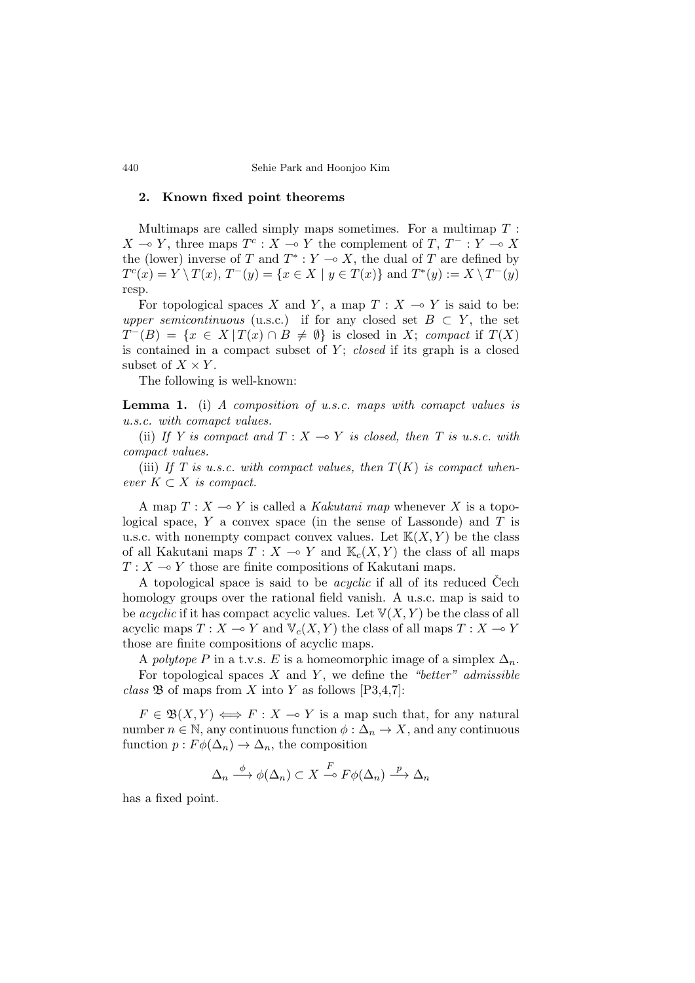## 2. Known fixed point theorems

Multimaps are called simply maps sometimes. For a multimap  $T$ :  $X \multimap Y$ , three maps  $T^c : X \multimap Y$  the complement of  $T, T^- : Y \multimap X$ the (lower) inverse of T and  $T^* : Y \to X$ , the dual of T are defined by  $T^{c}(x) = Y \setminus T(x), T^{-}(y) = \{x \in X \mid y \in T(x)\}\$ and  $T^{*}(y) := X \setminus T^{-}(y)$ resp.

For topological spaces X and Y, a map  $T : X \to Y$  is said to be: upper semicontinuous (u.s.c.) if for any closed set  $B \subset Y$ , the set  $T^{-}(B) = \{x \in X \mid T(x) \cap B \neq \emptyset\}$  is closed in X; compact if  $T(X)$ is contained in a compact subset of  $Y$ ; closed if its graph is a closed subset of  $X \times Y$ .

The following is well-known:

Lemma 1. (i) A composition of u.s.c. maps with comapct values is u.s.c. with comapct values.

(ii) If Y is compact and  $T : X \rightarrow Y$  is closed, then T is u.s.c. with compact values.

(iii) If T is u.s.c. with compact values, then  $T(K)$  is compact whenever  $K \subset X$  is compact.

A map  $T : X \longrightarrow Y$  is called a Kakutani map whenever X is a topological space,  $Y$  a convex space (in the sense of Lassonde) and  $T$  is u.s.c. with nonempty compact convex values. Let  $K(X, Y)$  be the class of all Kakutani maps  $T : X \to Y$  and  $\mathbb{K}_c(X, Y)$  the class of all maps  $T : X \longrightarrow Y$  those are finite compositions of Kakutani maps.

A topological space is said to be *acyclic* if all of its reduced Cech homology groups over the rational field vanish. A u.s.c. map is said to be *acyclic* if it has compact acyclic values. Let  $V(X, Y)$  be the class of all acyclic maps  $T : X \to Y$  and  $V_c(X, Y)$  the class of all maps  $T : X \to Y$ those are finite compositions of acyclic maps.

A polytope P in a t.v.s. E is a homeomorphic image of a simplex  $\Delta_n$ . For topological spaces  $X$  and  $Y$ , we define the "better" admissible class  $\mathfrak B$  of maps from X into Y as follows [P3,4,7]:

 $F \in \mathfrak{B}(X,Y) \Longleftrightarrow F : X \multimap Y$  is a map such that, for any natural number  $n \in \mathbb{N}$ , any continuous function  $\phi : \Delta_n \to X$ , and any continuous function  $p: F\phi(\Delta_n) \to \Delta_n$ , the composition

$$
\Delta_n \xrightarrow{\phi} \phi(\Delta_n) \subset X \xrightarrow{F} F\phi(\Delta_n) \xrightarrow{p} \Delta_n
$$

has a fixed point.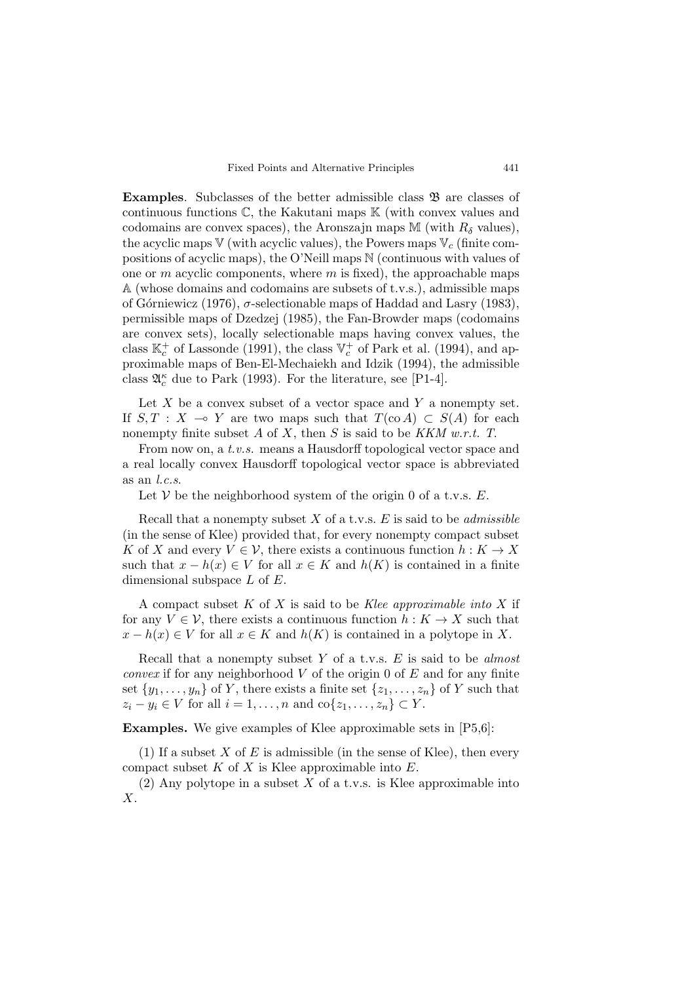Examples. Subclasses of the better admissible class  $\mathfrak B$  are classes of continuous functions  $\mathbb C$ , the Kakutani maps  $\mathbb K$  (with convex values and codomains are convex spaces), the Aronszajn maps M (with  $R_{\delta}$  values), the acyclic maps  $V$  (with acyclic values), the Powers maps  $V_c$  (finite compositions of acyclic maps), the O'Neill maps N (continuous with values of one or  $m$  acyclic components, where  $m$  is fixed), the approachable maps A (whose domains and codomains are subsets of t.v.s.), admissible maps of Górniewicz (1976),  $\sigma$ -selectionable maps of Haddad and Lasry (1983), permissible maps of Dzedzej (1985), the Fan-Browder maps (codomains are convex sets), locally selectionable maps having convex values, the class  $\mathbb{K}_c^+$  of Lassonde (1991), the class  $\mathbb{V}_c^+$  of Park et al. (1994), and approximable maps of Ben-El-Mechaiekh and Idzik (1994), the admissible class  $\mathfrak{A}_{c}^{\kappa}$  due to Park (1993). For the literature, see [P1-4].

Let  $X$  be a convex subset of a vector space and  $Y$  a nonempty set. If  $S, T : X \to Y$  are two maps such that  $T(\text{co }A) \subset S(A)$  for each nonempty finite subset  $A$  of  $X$ , then  $S$  is said to be  $KKM$  w.r.t.  $T$ .

From now on, a t.v.s. means a Hausdorff topological vector space and a real locally convex Hausdorff topological vector space is abbreviated as an l.c.s.

Let  $V$  be the neighborhood system of the origin 0 of a t.v.s.  $E$ .

Recall that a nonempty subset  $X$  of a t.v.s.  $E$  is said to be *admissible* (in the sense of Klee) provided that, for every nonempty compact subset K of X and every  $V \in \mathcal{V}$ , there exists a continuous function  $h: K \to X$ such that  $x - h(x) \in V$  for all  $x \in K$  and  $h(K)$  is contained in a finite dimensional subspace  $L$  of  $E$ .

A compact subset  $K$  of  $X$  is said to be Klee approximable into  $X$  if for any  $V \in \mathcal{V}$ , there exists a continuous function  $h: K \to X$  such that  $x - h(x) \in V$  for all  $x \in K$  and  $h(K)$  is contained in a polytope in X.

Recall that a nonempty subset Y of a t.v.s.  $E$  is said to be *almost convex* if for any neighborhood  $V$  of the origin 0 of  $E$  and for any finite set  $\{y_1, \ldots, y_n\}$  of Y, there exists a finite set  $\{z_1, \ldots, z_n\}$  of Y such that  $z_i - y_i \in V$  for all  $i = 1, \ldots, n$  and  $\text{co}\{z_1, \ldots, z_n\} \subset Y$ .

Examples. We give examples of Klee approximable sets in [P5,6]:

(1) If a subset X of E is admissible (in the sense of Klee), then every compact subset  $K$  of  $X$  is Klee approximable into  $E$ .

(2) Any polytope in a subset  $X$  of a t.v.s. is Klee approximable into X.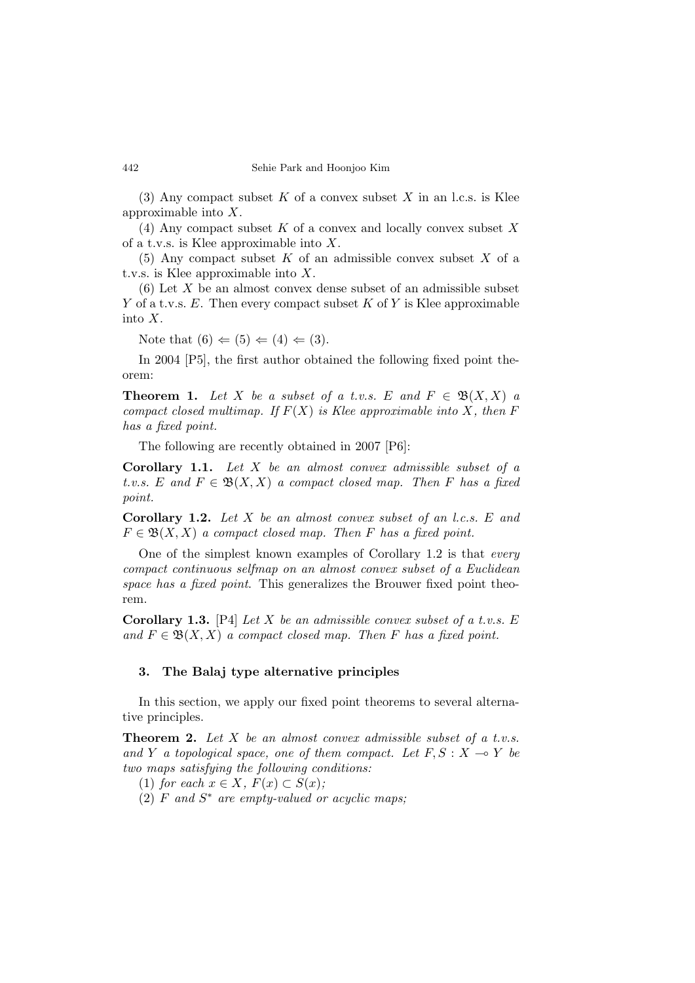(3) Any compact subset K of a convex subset X in an l.c.s. is Klee approximable into X.

(4) Any compact subset  $K$  of a convex and locally convex subset  $X$ of a t.v.s. is Klee approximable into X.

(5) Any compact subset K of an admissible convex subset X of a t.v.s. is Klee approximable into X.

 $(6)$  Let X be an almost convex dense subset of an admissible subset Y of a t.v.s.  $E$ . Then every compact subset K of Y is Klee approximable into X.

Note that  $(6) \Leftarrow (5) \Leftarrow (4) \Leftarrow (3)$ .

In 2004 [P5], the first author obtained the following fixed point theorem:

**Theorem 1.** Let X be a subset of a t.v.s. E and  $F \in \mathfrak{B}(X,X)$  a compact closed multimap. If  $F(X)$  is Klee approximable into X, then F has a fixed point.

The following are recently obtained in 2007 [P6]:

**Corollary 1.1.** Let  $X$  be an almost convex admissible subset of a t.v.s. E and  $F \in \mathfrak{B}(X,X)$  a compact closed map. Then F has a fixed point.

Corollary 1.2. Let X be an almost convex subset of an l.c.s. E and  $F \in \mathfrak{B}(X,X)$  a compact closed map. Then F has a fixed point.

One of the simplest known examples of Corollary 1.2 is that every compact continuous selfmap on an almost convex subset of a Euclidean space has a fixed point. This generalizes the Brouwer fixed point theorem.

**Corollary 1.3.** [P4] Let X be an admissible convex subset of a t.v.s.  $E$ and  $F \in \mathfrak{B}(X,X)$  a compact closed map. Then F has a fixed point.

## 3. The Balaj type alternative principles

In this section, we apply our fixed point theorems to several alternative principles.

**Theorem 2.** Let  $X$  be an almost convex admissible subset of a t.v.s. and Y a topological space, one of them compact. Let  $F, S: X \rightarrow Y$  be two maps satisfying the following conditions:

(1) for each  $x \in X$ ,  $F(x) \subset S(x)$ ;

 $(2)$  F and  $S^*$  are empty-valued or acyclic maps;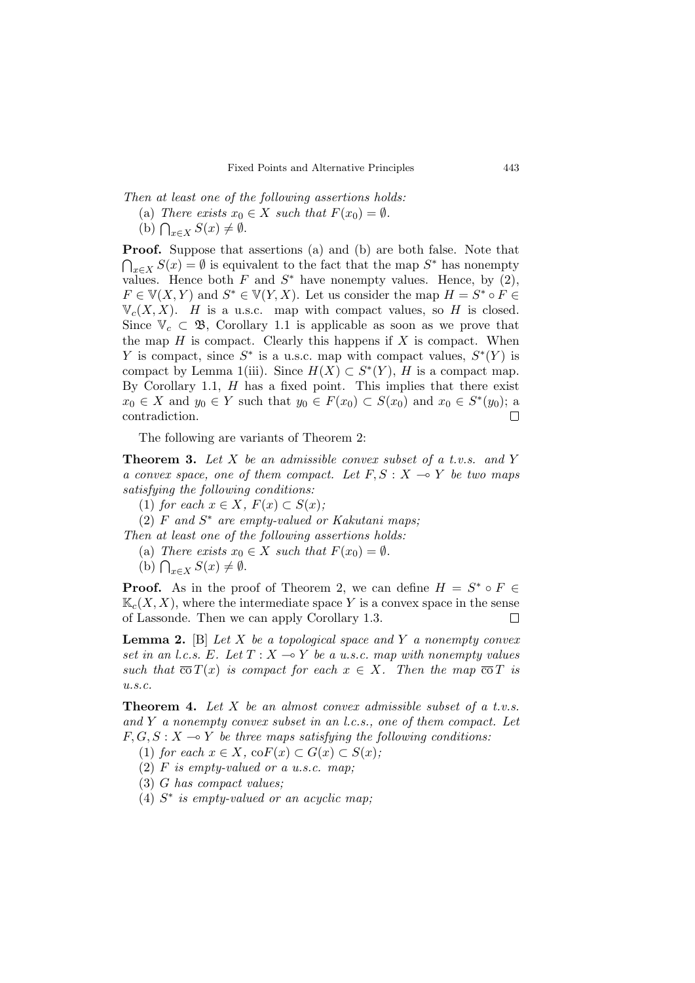Then at least one of the following assertions holds:

- (a) There exists  $x_0 \in X$  such that  $F(x_0) = \emptyset$ .
- (b)  $\bigcap_{x\in X} S(x) \neq \emptyset$ .

Proof. Suppose that assertions (a) and (b) are both false. Note that  $\bigcap_{x\in X}S(x)=\emptyset$  is equivalent to the fact that the map  $S^*$  has nonempty values. Hence both F and  $S^*$  have nonempty values. Hence, by  $(2)$ ,  $F \in \mathbb{V}(X, Y)$  and  $S^* \in \mathbb{V}(Y, X)$ . Let us consider the map  $H = S^* \circ F \in$  $\mathbb{V}_c(X,X)$ . H is a u.s.c. map with compact values, so H is closed. Since  $\mathbb{V}_c \subset \mathfrak{B}$ , Corollary 1.1 is applicable as soon as we prove that the map  $H$  is compact. Clearly this happens if  $X$  is compact. When Y is compact, since  $S^*$  is a u.s.c. map with compact values,  $S^*(Y)$  is compact by Lemma 1(iii). Since  $H(X) \subset S^{*}(Y)$ , H is a compact map. By Corollary 1.1,  $H$  has a fixed point. This implies that there exist  $x_0 \in X$  and  $y_0 \in Y$  such that  $y_0 \in F(x_0) \subset S(x_0)$  and  $x_0 \in S^*(y_0)$ ; a contradiction.  $\Box$ 

The following are variants of Theorem 2:

**Theorem 3.** Let  $X$  be an admissible convex subset of a t.v.s. and  $Y$ a convex space, one of them compact. Let  $F, S: X \rightarrow Y$  be two maps satisfying the following conditions:

(1) for each  $x \in X$ ,  $F(x) \subset S(x)$ ;

 $(2)$  F and  $S^*$  are empty-valued or Kakutani maps;

Then at least one of the following assertions holds:

(a) There exists  $x_0 \in X$  such that  $F(x_0) = \emptyset$ .

(b)  $\bigcap_{x\in X} S(x) \neq \emptyset$ .

**Proof.** As in the proof of Theorem 2, we can define  $H = S^* \circ F \in$  $\mathbb{K}_c(X, X)$ , where the intermediate space Y is a convex space in the sense of Lassonde. Then we can apply Corollary 1.3.  $\Box$ 

**Lemma 2.** [B] Let X be a topological space and Y a nonempty convex set in an l.c.s. E. Let  $T : X \to Y$  be a u.s.c. map with nonempty values such that  $\overline{co} T(x)$  is compact for each  $x \in X$ . Then the map  $\overline{co} T$  is  $u.s.c.$ 

**Theorem 4.** Let  $X$  be an almost convex admissible subset of a t.v.s. and  $Y$  a nonempty convex subset in an *l.c.s.*, one of them compact. Let  $F, G, S: X \rightarrow Y$  be three maps satisfying the following conditions:

(1) for each  $x \in X$ , co $F(x) \subset G(x) \subset S(x)$ ;

 $(2)$  F is empty-valued or a u.s.c. map;

(3) G has compact values;

 $(4)$  S<sup>\*</sup> is empty-valued or an acyclic map;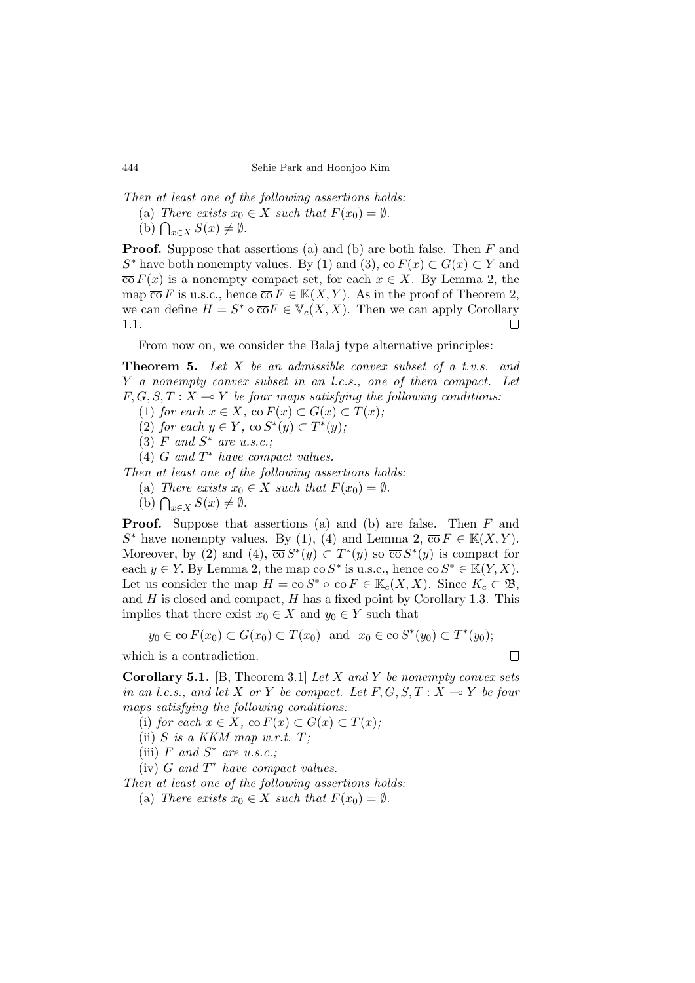Then at least one of the following assertions holds:

- (a) There exists  $x_0 \in X$  such that  $F(x_0) = \emptyset$ .
- (b)  $\bigcap_{x\in X} S(x) \neq \emptyset$ .

**Proof.** Suppose that assertions (a) and (b) are both false. Then  $F$  and S<sup>\*</sup> have both nonempty values. By (1) and (3),  $\overline{co} F(x) \subset G(x) \subset Y$  and  $\overline{co} F(x)$  is a nonempty compact set, for each  $x \in X$ . By Lemma 2, the map  $\overline{co} F$  is u.s.c., hence  $\overline{co} F \in K(X, Y)$ . As in the proof of Theorem 2, we can define  $H = S^* \circ \overline{\text{co}} F \in \mathbb{V}_c(X,X)$ . Then we can apply Corollary 1.1.  $\Box$ 

From now on, we consider the Balaj type alternative principles:

**Theorem 5.** Let X be an admissible convex subset of a t.v.s. and Y a nonempty convex subset in an l.c.s., one of them compact. Let  $F, G, S, T : X \longrightarrow Y$  be four maps satisfying the following conditions:

- (1) for each  $x \in X$ , co  $F(x) \subset G(x) \subset T(x)$ ;
- (2) for each  $y \in Y$ , co  $S^*(y) \subset T^*(y)$ ;
- $(3)$  F and  $S^*$  are u.s.c.;
- $(4)$  G and  $T^*$  have compact values.

Then at least one of the following assertions holds:

- (a) There exists  $x_0 \in X$  such that  $F(x_0) = \emptyset$ .
- (b)  $\bigcap_{x\in X} S(x) \neq \emptyset$ .

Proof. Suppose that assertions (a) and (b) are false. Then F and  $S^*$  have nonempty values. By (1), (4) and Lemma 2,  $\overline{co} F \in K(X, Y)$ . Moreover, by (2) and (4),  $\overline{\cos} S^*(y) \subset T^*(y)$  so  $\overline{\cos} S^*(y)$  is compact for each  $y \in Y$ . By Lemma 2, the map  $\overline{co} S^*$  is u.s.c., hence  $\overline{co} S^* \in \mathbb{K}(Y, X)$ . Let us consider the map  $H = \overline{\text{co}} S^* \circ \overline{\text{co}} F \in \mathbb{K}_c(X, X)$ . Since  $K_c \subset \mathfrak{B}$ , and  $H$  is closed and compact,  $H$  has a fixed point by Corollary 1.3. This implies that there exist  $x_0 \in X$  and  $y_0 \in Y$  such that

$$
y_0 \in \overline{\text{co}} F(x_0) \subset G(x_0) \subset T(x_0)
$$
 and  $x_0 \in \overline{\text{co}} S^*(y_0) \subset T^*(y_0)$ ;

which is a contradiction.

 $\Box$ 

**Corollary 5.1.** [B, Theorem 3.1] Let X and Y be nonempty convex sets in an l.c.s., and let X or Y be compact. Let  $F, G, S, T : X \rightarrow Y$  be four maps satisfying the following conditions:

- (i) for each  $x \in X$ , co  $F(x) \subset G(x) \subset T(x)$ ;
- (ii)  $S$  is a KKM map w.r.t.  $T$ ;
- (iii)  $F$  and  $S^*$  are u.s.c.;
- (iv)  $G$  and  $T^*$  have compact values.

Then at least one of the following assertions holds:

(a) There exists  $x_0 \in X$  such that  $F(x_0) = \emptyset$ .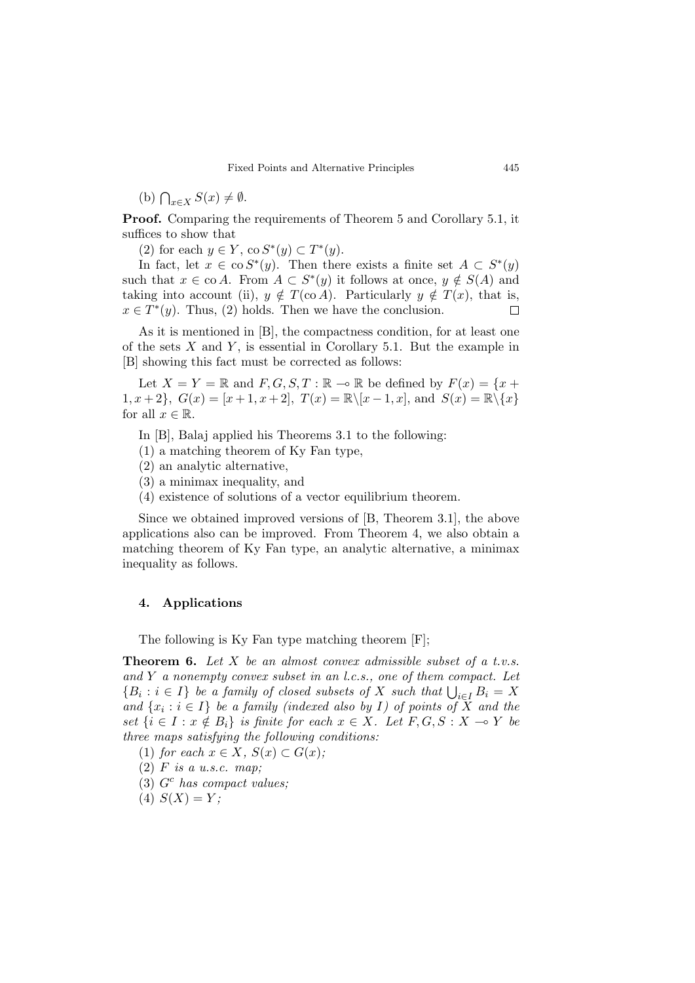(b)  $\bigcap_{x\in X} S(x) \neq \emptyset$ .

Proof. Comparing the requirements of Theorem 5 and Corollary 5.1, it suffices to show that

(2) for each  $y \in Y$ , co  $S^*(y) \subset T^*(y)$ .

In fact, let  $x \in \cos^{*}(y)$ . Then there exists a finite set  $A \subset S^{*}(y)$ such that  $x \in \text{co } A$ . From  $A \subset S^*(y)$  it follows at once,  $y \notin S(A)$  and taking into account (ii),  $y \notin T(\text{co } A)$ . Particularly  $y \notin T(x)$ , that is,  $x \in T^*(y)$ . Thus, (2) holds. Then we have the conclusion.  $\Box$ 

As it is mentioned in [B], the compactness condition, for at least one of the sets  $X$  and  $Y$ , is essential in Corollary 5.1. But the example in [B] showing this fact must be corrected as follows:

Let  $X = Y = \mathbb{R}$  and  $F, G, S, T : \mathbb{R} \to \mathbb{R}$  be defined by  $F(x) = \{x +$ 1,  $x + 2$ ,  $G(x) = [x + 1, x + 2]$ ,  $T(x) = \mathbb{R} \setminus [x - 1, x]$ , and  $S(x) = \mathbb{R} \setminus \{x\}$ for all  $x \in \mathbb{R}$ .

- In [B], Balaj applied his Theorems 3.1 to the following:
- (1) a matching theorem of Ky Fan type,
- (2) an analytic alternative,
- (3) a minimax inequality, and
- (4) existence of solutions of a vector equilibrium theorem.

Since we obtained improved versions of [B, Theorem 3.1], the above applications also can be improved. From Theorem 4, we also obtain a matching theorem of Ky Fan type, an analytic alternative, a minimax inequality as follows.

### 4. Applications

The following is Ky Fan type matching theorem [F];

**Theorem 6.** Let  $X$  be an almost convex admissible subset of a t.v.s. and  $Y$  a nonempty convex subset in an l.c.s., one of them compact. Let  ${B_i : i \in I}$  be a family of closed subsets of X such that  $\bigcup_{i \in I} B_i = X$ and  $\{x_i : i \in I\}$  be a family (indexed also by I) of points of X and the set  $\{i \in I : x \notin B_i\}$  is finite for each  $x \in X$ . Let  $F, G, S : X \to Y$  be three maps satisfying the following conditions:

(1) for each  $x \in X$ ,  $S(x) \subset G(x)$ ;

- $(2)$  *F* is a u.s.c. map;
- $(3)$   $G<sup>c</sup>$  has compact values;
- (4)  $S(X) = Y$ ;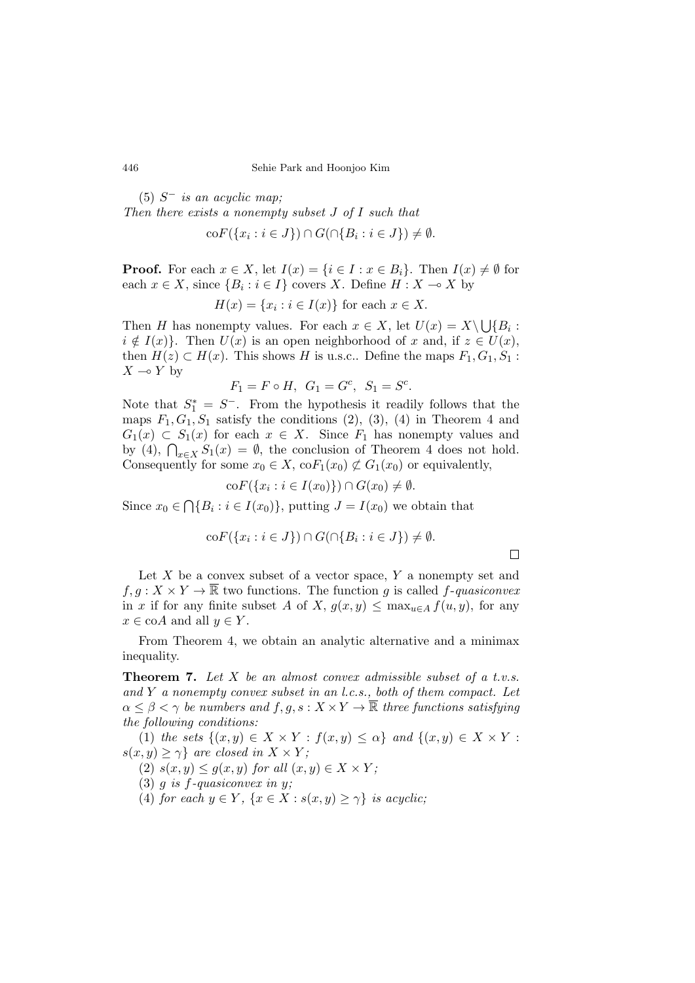$(5)$  S<sup>-</sup> is an acyclic map; Then there exists a nonempty subset J of I such that  $\mathrm{co}F(\lbrace x_i : i \in J \rbrace) \cap G(\cap \lbrace B_i : i \in J \rbrace) \neq \emptyset.$ 

**Proof.** For each  $x \in X$ , let  $I(x) = \{i \in I : x \in B_i\}$ . Then  $I(x) \neq \emptyset$  for each  $x \in X$ , since  $\{B_i : i \in I\}$  covers X. Define  $H: X \to X$  by

$$
H(x) = \{x_i : i \in I(x)\} \text{ for each } x \in X.
$$

Then H has nonempty values. For each  $x \in X$ , let  $U(x) = X \setminus \bigcup \{B_i : S_i = B \}$  $i \notin I(x)$ . Then  $U(x)$  is an open neighborhood of x and, if  $z \in U(x)$ , then  $H(z) \subset H(x)$ . This shows H is u.s.c.. Define the maps  $F_1, G_1, S_1$ :  $X \multimap Y$  by

$$
F_1 = F \circ H
$$
,  $G_1 = G^c$ ,  $S_1 = S^c$ .

Note that  $S_1^* = S^-$ . From the hypothesis it readily follows that the maps  $F_1, G_1, S_1$  satisfy the conditions  $(2), (3), (4)$  in Theorem 4 and  $G_1(x) \subset S_1(x)$  for each  $x \in X$ . Since  $F_1$  has nonempty values and by (4),  $\bigcap_{x\in X}S_1(x) = \emptyset$ , the conclusion of Theorem 4 does not hold. Consequently for some  $x_0 \in X$ ,  $\operatorname{co} F_1(x_0) \not\subset G_1(x_0)$  or equivalently,

$$
\mathrm{co}F(\lbrace x_i : i \in I(x_0) \rbrace) \cap G(x_0) \neq \emptyset
$$

Since  $x_0 \in \bigcap \{B_i : i \in I(x_0)\},$  putting  $J = I(x_0)$  we obtain that

$$
\mathrm{co}F(\{x_i : i \in J\}) \cap G(\cap \{B_i : i \in J\}) \neq \emptyset.
$$

 $\Box$ 

Let  $X$  be a convex subset of a vector space,  $Y$  a nonempty set and  $f, g: X \times Y \to \overline{\mathbb{R}}$  two functions. The function g is called f-quasiconvex in x if for any finite subset A of X,  $g(x, y) \leq \max_{u \in A} f(u, y)$ , for any  $x \in \text{co}A$  and all  $y \in Y$ .

From Theorem 4, we obtain an analytic alternative and a minimax inequality.

**Theorem 7.** Let  $X$  be an almost convex admissible subset of a t.v.s. and Y a nonempty convex subset in an l.c.s., both of them compact. Let  $\alpha \leq \beta < \gamma$  be numbers and  $f, g, s: X \times Y \to \overline{\mathbb{R}}$  three functions satisfying the following conditions:

(1) the sets  $\{(x, y) \in X \times Y : f(x, y) \leq \alpha\}$  and  $\{(x, y) \in X \times Y : f(x, y) \in X \times Y$  $s(x, y) \geq \gamma$ } are closed in  $X \times Y$ ;

(2)  $s(x, y) \leq g(x, y)$  for all  $(x, y) \in X \times Y$ ;

(3)  $q$  is  $f$ -quasiconvex in  $y$ ;

(4) for each  $y \in Y$ ,  $\{x \in X : s(x, y) \geq \gamma\}$  is acyclic;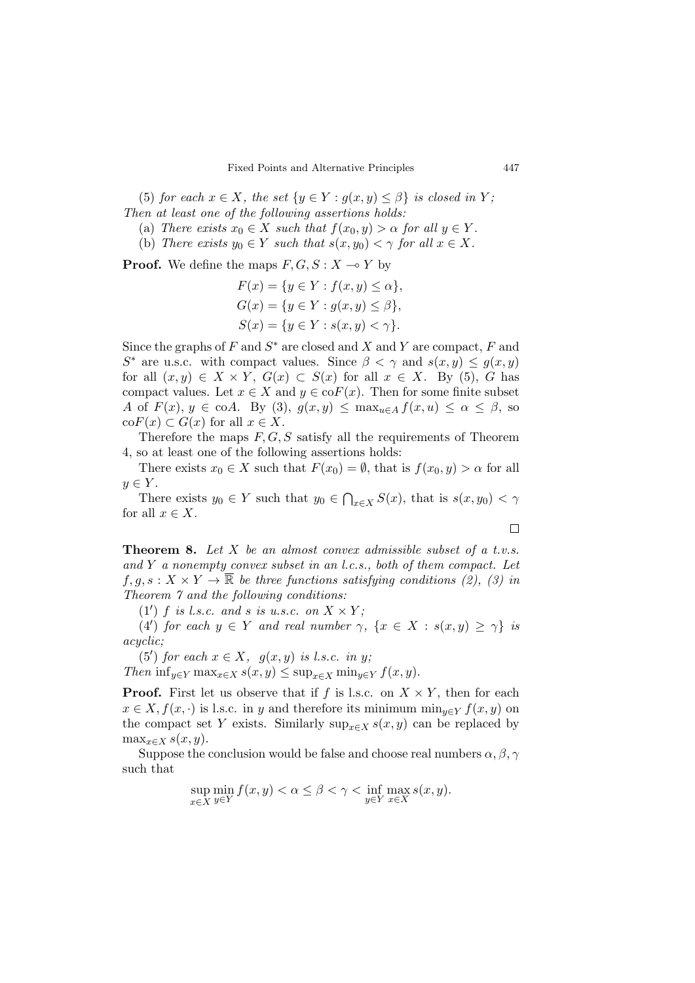(5) for each  $x \in X$ , the set  $\{y \in Y : g(x, y) \leq \beta\}$  is closed in Y; Then at least one of the following assertions holds:

- (a) There exists  $x_0 \in X$  such that  $f(x_0, y) > \alpha$  for all  $y \in Y$ .
- (b) There exists  $y_0 \in Y$  such that  $s(x, y_0) < \gamma$  for all  $x \in X$ .

**Proof.** We define the maps  $F, G, S: X \rightarrow Y$  by

$$
F(x) = \{y \in Y : f(x, y) \le \alpha\},
$$
  
\n
$$
G(x) = \{y \in Y : g(x, y) \le \beta\},
$$
  
\n
$$
S(x) = \{y \in Y : s(x, y) < \gamma\}.
$$

Since the graphs of  $F$  and  $S^*$  are closed and  $X$  and  $Y$  are compact,  $F$  and  $S^*$  are u.s.c. with compact values. Since  $\beta < \gamma$  and  $s(x, y) \leq g(x, y)$ for all  $(x, y) \in X \times Y$ ,  $G(x) \subset S(x)$  for all  $x \in X$ . By (5), G has compact values. Let  $x \in X$  and  $y \in \text{co}F(x)$ . Then for some finite subset A of  $F(x)$ ,  $y \in \text{coA}$ . By (3),  $g(x, y) \leq \max_{u \in A} f(x, u) \leq \alpha \leq \beta$ , so  $\operatorname{co}F(x) \subset G(x)$  for all  $x \in X$ .

Therefore the maps  $F, G, S$  satisfy all the requirements of Theorem 4, so at least one of the following assertions holds:

There exists  $x_0 \in X$  such that  $F(x_0) = \emptyset$ , that is  $f(x_0, y) > \alpha$  for all  $y \in Y$ .

There exists  $y_0 \in Y$  such that  $y_0 \in \bigcap_{x \in X} S(x)$ , that is  $s(x, y_0) < \gamma$ for all  $x \in X$ .

 $\Box$ 

**Theorem 8.** Let  $X$  be an almost convex admissible subset of a t.v.s. and  $Y$  a nonempty convex subset in an l.c.s., both of them compact. Let  $f, g, s: X \times Y \to \overline{\mathbb{R}}$  be three functions satisfying conditions (2), (3) in Theorem 7 and the following conditions:

(1') f is l.s.c. and s is u.s.c. on  $X \times Y$ ;

(4') for each  $y \in Y$  and real number  $\gamma$ ,  $\{x \in X : s(x, y) \geq \gamma\}$  is acyclic;

(5') for each  $x \in X$ ,  $g(x, y)$  is l.s.c. in y;

Then  $\inf_{y \in Y} \max_{x \in X} s(x, y) \leq \sup_{x \in X} \min_{y \in Y} f(x, y)$ .

**Proof.** First let us observe that if f is l.s.c. on  $X \times Y$ , then for each  $x \in X, f(x, \cdot)$  is l.s.c. in y and therefore its minimum  $\min_{y \in Y} f(x, y)$  on the compact set Y exists. Similarly sup<sub> $x \in X$ </sub> s(x, y) can be replaced by  $\max_{x \in X} s(x, y)$ .

Suppose the conclusion would be false and choose real numbers  $\alpha, \beta, \gamma$ such that

$$
\sup_{x \in X} \min_{y \in Y} f(x, y) < \alpha \le \beta < \gamma < \inf_{y \in Y} \max_{x \in X} s(x, y).
$$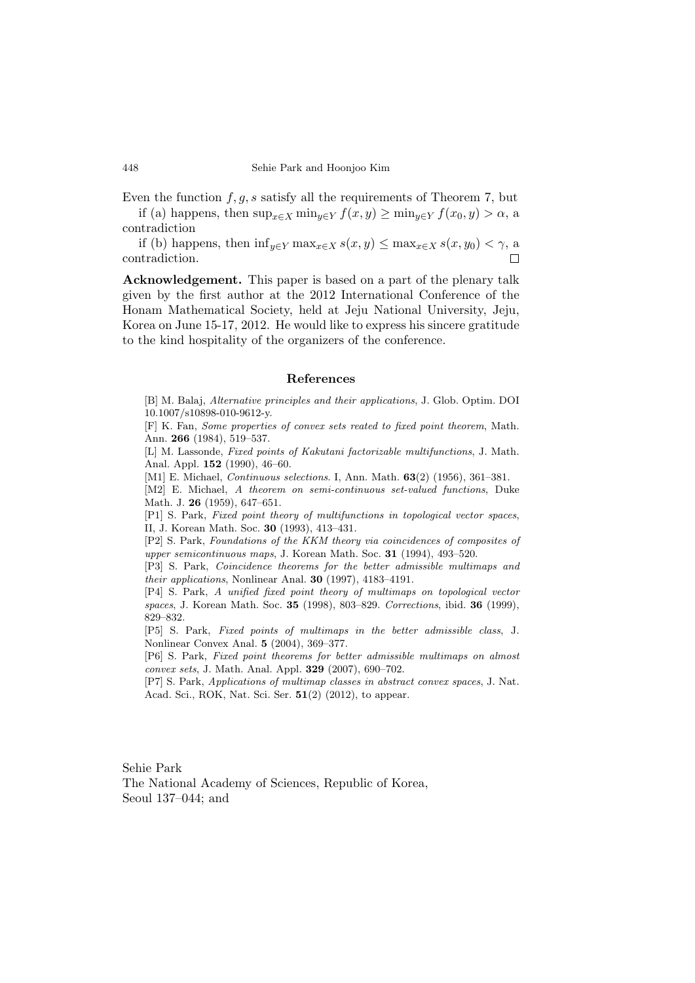Even the function  $f, g, s$  satisfy all the requirements of Theorem 7, but

if (a) happens, then  $\sup_{x \in X} \min_{y \in Y} f(x, y) \ge \min_{y \in Y} f(x_0, y) > \alpha$ , a contradiction

if (b) happens, then  $\inf_{y \in Y} \max_{x \in X} s(x, y) \leq \max_{x \in X} s(x, y_0) < \gamma$ , a contradiction.

Acknowledgement. This paper is based on a part of the plenary talk given by the first author at the 2012 International Conference of the Honam Mathematical Society, held at Jeju National University, Jeju, Korea on June 15-17, 2012. He would like to express his sincere gratitude to the kind hospitality of the organizers of the conference.

### References

[B] M. Balaj, Alternative principles and their applications, J. Glob. Optim. DOI 10.1007/s10898-010-9612-y.

[F] K. Fan, Some properties of convex sets reated to fixed point theorem, Math. Ann. 266 (1984), 519–537.

[L] M. Lassonde, Fixed points of Kakutani factorizable multifunctions, J. Math. Anal. Appl. 152 (1990), 46–60.

[M1] E. Michael, *Continuous selections*. I, Ann. Math. **63**(2) (1956), 361-381.

[M2] E. Michael, A theorem on semi-continuous set-valued functions, Duke Math. J. 26 (1959), 647–651.

[P1] S. Park, Fixed point theory of multifunctions in topological vector spaces, II, J. Korean Math. Soc. 30 (1993), 413–431.

[P2] S. Park, Foundations of the KKM theory via coincidences of composites of upper semicontinuous maps, J. Korean Math. Soc. 31 (1994), 493–520.

[P3] S. Park, Coincidence theorems for the better admissible multimaps and their applications, Nonlinear Anal. 30 (1997), 4183–4191.

[P4] S. Park, A unified fixed point theory of multimaps on topological vector spaces, J. Korean Math. Soc. 35 (1998), 803–829. Corrections, ibid. 36 (1999), 829–832.

[P5] S. Park, Fixed points of multimaps in the better admissible class, J. Nonlinear Convex Anal. 5 (2004), 369–377.

[P6] S. Park, Fixed point theorems for better admissible multimaps on almost convex sets, J. Math. Anal. Appl. 329 (2007), 690–702.

[P7] S. Park, Applications of multimap classes in abstract convex spaces, J. Nat. Acad. Sci., ROK, Nat. Sci. Ser. 51(2) (2012), to appear.

Sehie Park

The National Academy of Sciences, Republic of Korea, Seoul 137–044; and